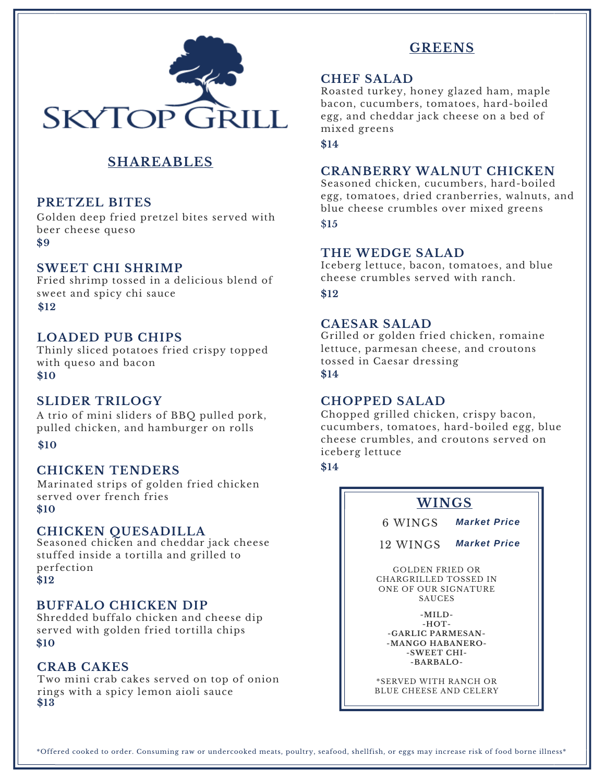

## **SHAREABLES**

## **PRETZEL BITES**

Golden deep fried pretzel bites served with beer cheese queso **\$9**

#### **SWEET CHI SHRIMP**

Fried shrimp tossed in a delicious blend of sweet and spicy chi sauce **\$12**

#### **LOADED PUB CHIPS**

Thinly sliced potatoes fried crispy topped with queso and bacon **\$10**

#### **SLIDER TRILOGY**

A trio of mini sliders of BBQ pulled pork, pulled chicken, and hamburger on rolls

**\$10**

#### **CHICKEN TENDERS**

**\$10** Marinated strips of golden fried chicken served over french fries

#### **CHICKEN QUESADILLA**

Seasoned chicken and cheddar jack cheese stuffed inside a tortilla and grilled to perfection **\$12**

#### **BUFFALO CHICKEN DIP**

Shredded buffalo chicken and cheese dip served with golden fried tortilla chips **\$10**

### **CRAB CAKES**

Two mini crab cakes served on top of onion rings with a spicy lemon aioli sauce **\$13**

## **GREENS**

#### **CHEF SALAD**

Roasted turkey, honey glazed ham, maple bacon, cucumbers, tomatoes, hard-boiled egg, and cheddar jack cheese on a bed of mixed greens

**\$14**

#### **CRANBERRY WALNUT CHICKEN**

Seasoned chicken, cucumbers, hard-boiled egg, tomatoes, dried cranberries, walnuts, and blue cheese crumbles over mixed greens \$**15**

#### **THE WEDGE SALAD**

Iceberg lettuce, bacon, tomatoes, and blue cheese crumbles served with ranch.

**\$12**

## **CAESAR SALAD**

Grilled or golden fried chicken, romaine lettuce, parmesan cheese, and croutons tossed in Caesar dressing **\$14**

#### **CHOPPED SALAD**

Chopped grilled chicken, crispy bacon, cucumbers, tomatoes, hard-boiled egg, blue cheese crumbles, and croutons served on iceberg lettuce

**\$14**